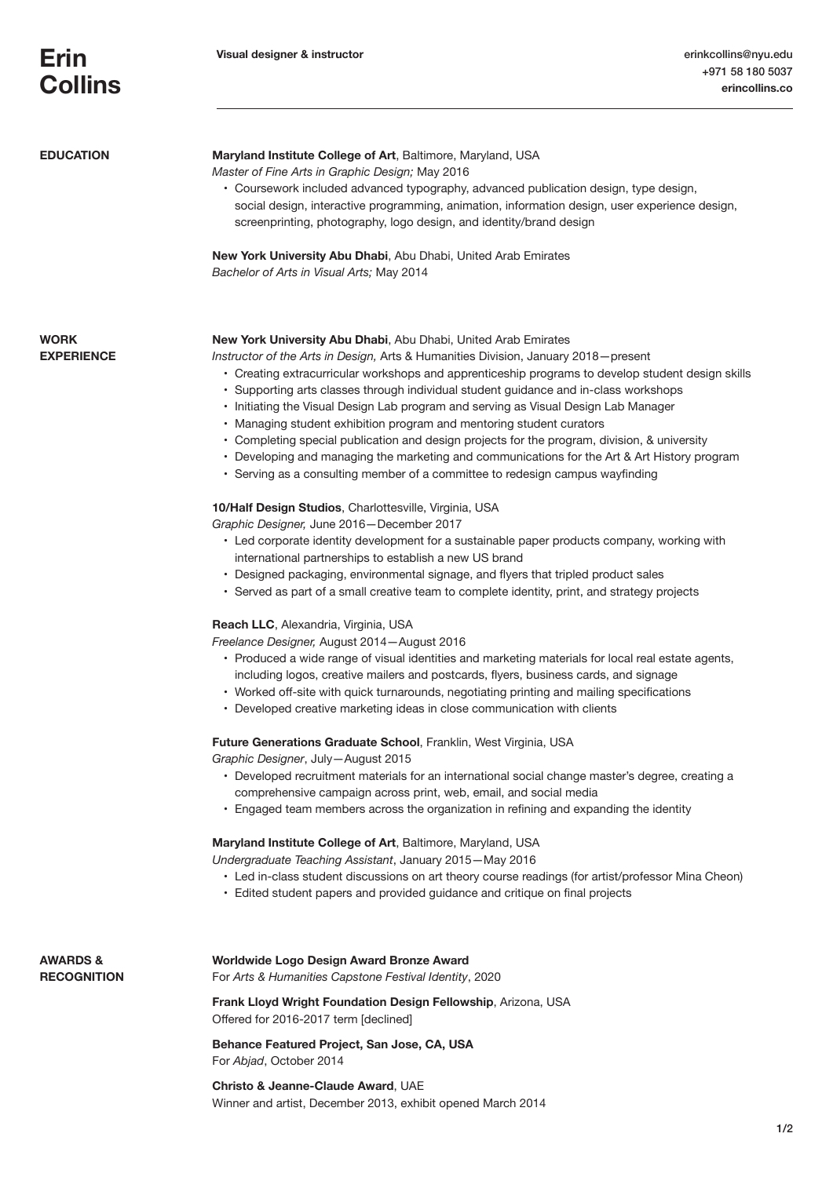| <b>EDUCATION</b>               | Maryland Institute College of Art, Baltimore, Maryland, USA<br>Master of Fine Arts in Graphic Design; May 2016<br>• Coursework included advanced typography, advanced publication design, type design,<br>social design, interactive programming, animation, information design, user experience design,<br>screenprinting, photography, logo design, and identity/brand design<br>New York University Abu Dhabi, Abu Dhabi, United Arab Emirates<br>Bachelor of Arts in Visual Arts; May 2014                                                                                                                                                                                                                                                                                                           |
|--------------------------------|----------------------------------------------------------------------------------------------------------------------------------------------------------------------------------------------------------------------------------------------------------------------------------------------------------------------------------------------------------------------------------------------------------------------------------------------------------------------------------------------------------------------------------------------------------------------------------------------------------------------------------------------------------------------------------------------------------------------------------------------------------------------------------------------------------|
| WORK<br><b>EXPERIENCE</b>      | <b>New York University Abu Dhabi, Abu Dhabi, United Arab Emirates</b><br>Instructor of the Arts in Design, Arts & Humanities Division, January 2018–present<br>• Creating extracurricular workshops and apprenticeship programs to develop student design skills<br>• Supporting arts classes through individual student guidance and in-class workshops<br>• Initiating the Visual Design Lab program and serving as Visual Design Lab Manager<br>• Managing student exhibition program and mentoring student curators<br>• Completing special publication and design projects for the program, division, & university<br>• Developing and managing the marketing and communications for the Art & Art History program<br>• Serving as a consulting member of a committee to redesign campus wayfinding |
|                                | 10/Half Design Studios, Charlottesville, Virginia, USA<br>Graphic Designer, June 2016-December 2017<br>• Led corporate identity development for a sustainable paper products company, working with<br>international partnerships to establish a new US brand<br>• Designed packaging, environmental signage, and flyers that tripled product sales<br>• Served as part of a small creative team to complete identity, print, and strategy projects<br>Reach LLC, Alexandria, Virginia, USA                                                                                                                                                                                                                                                                                                               |
|                                | Freelance Designer, August 2014 - August 2016<br>• Produced a wide range of visual identities and marketing materials for local real estate agents,<br>including logos, creative mailers and postcards, flyers, business cards, and signage<br>• Worked off-site with quick turnarounds, negotiating printing and mailing specifications<br>• Developed creative marketing ideas in close communication with clients                                                                                                                                                                                                                                                                                                                                                                                     |
|                                | Future Generations Graduate School, Franklin, West Virginia, USA<br>Graphic Designer, July-August 2015<br>• Developed recruitment materials for an international social change master's degree, creating a<br>comprehensive campaign across print, web, email, and social media<br>• Engaged team members across the organization in refining and expanding the identity                                                                                                                                                                                                                                                                                                                                                                                                                                 |
|                                | Maryland Institute College of Art, Baltimore, Maryland, USA<br>Undergraduate Teaching Assistant, January 2015-May 2016<br>• Led in-class student discussions on art theory course readings (for artist/professor Mina Cheon)<br>• Edited student papers and provided guidance and critique on final projects                                                                                                                                                                                                                                                                                                                                                                                                                                                                                             |
| AWARDS &<br><b>RECOGNITION</b> | Worldwide Logo Design Award Bronze Award<br>For Arts & Humanities Capstone Festival Identity, 2020                                                                                                                                                                                                                                                                                                                                                                                                                                                                                                                                                                                                                                                                                                       |
|                                | Frank Lloyd Wright Foundation Design Fellowship, Arizona, USA<br>Offered for 2016-2017 term [declined]                                                                                                                                                                                                                                                                                                                                                                                                                                                                                                                                                                                                                                                                                                   |
|                                | Behance Featured Project, San Jose, CA, USA<br>For Abjad, October 2014                                                                                                                                                                                                                                                                                                                                                                                                                                                                                                                                                                                                                                                                                                                                   |
|                                | Christo & Jeanne-Claude Award, UAE                                                                                                                                                                                                                                                                                                                                                                                                                                                                                                                                                                                                                                                                                                                                                                       |

Winner and artist, December 2013, exhibit opened March 2014